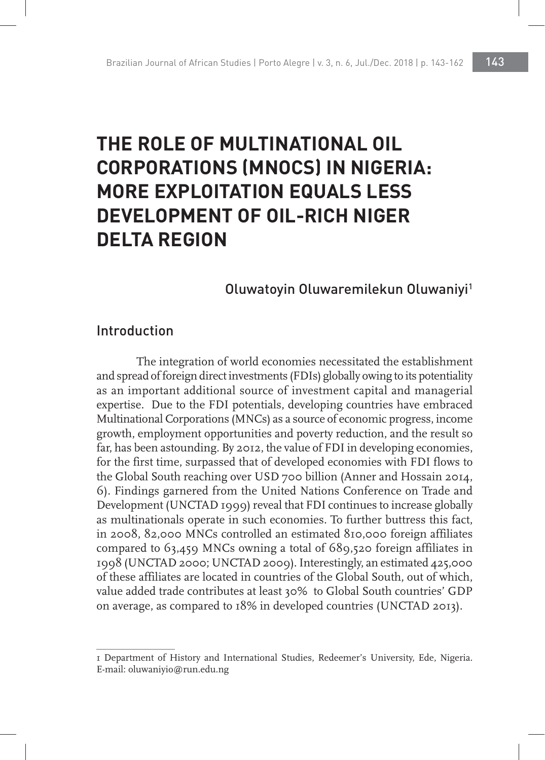# **THE ROLE OF MULTINATIONAL OIL CORPORATIONS (MNOCS) IN NIGERIA: MORE EXPLOITATION EQUALS LESS DEVELOPMENT OF OIL-RICH NIGER DELTA REGION**

### Oluwatoyin Oluwaremilekun Oluwaniyi1

#### Introduction

The integration of world economies necessitated the establishment and spread of foreign direct investments (FDIs) globally owing to its potentiality as an important additional source of investment capital and managerial expertise. Due to the FDI potentials, developing countries have embraced Multinational Corporations (MNCs) as a source of economic progress, income growth, employment opportunities and poverty reduction, and the result so far, has been astounding. By 2012, the value of FDI in developing economies, for the first time, surpassed that of developed economies with FDI flows to the Global South reaching over USD 700 billion (Anner and Hossain 2014, 6). Findings garnered from the United Nations Conference on Trade and Development (UNCTAD 1999) reveal that FDI continues to increase globally as multinationals operate in such economies. To further buttress this fact, in 2008, 82,000 MNCs controlled an estimated 810,000 foreign affiliates compared to 63,459 MNCs owning a total of 689,520 foreign affiliates in 1998 (UNCTAD 2000; UNCTAD 2009). Interestingly, an estimated 425,000 of these affiliates are located in countries of the Global South, out of which, value added trade contributes at least 30% to Global South countries' GDP on average, as compared to 18% in developed countries (UNCTAD 2013).

<sup>1</sup> Department of History and International Studies, Redeemer's University, Ede, Nigeria. E-mail: oluwaniyio@run.edu.ng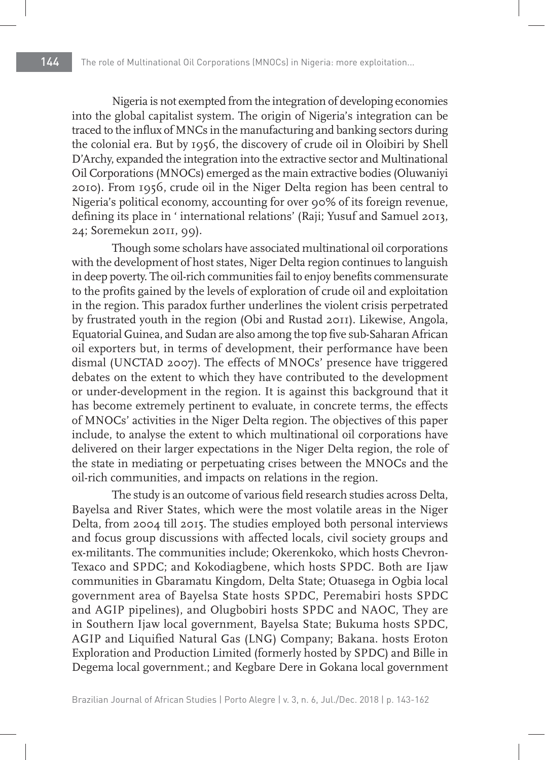Nigeria is not exempted from the integration of developing economies into the global capitalist system. The origin of Nigeria's integration can be traced to the influx of MNCs in the manufacturing and banking sectors during the colonial era. But by 1956, the discovery of crude oil in Oloibiri by Shell D'Archy, expanded the integration into the extractive sector and Multinational Oil Corporations (MNOCs) emerged as the main extractive bodies (Oluwaniyi 2010). From 1956, crude oil in the Niger Delta region has been central to Nigeria's political economy, accounting for over 90% of its foreign revenue, defining its place in ' international relations' (Raji; Yusuf and Samuel 2013, 24; Soremekun 2011, 99).

Though some scholars have associated multinational oil corporations with the development of host states, Niger Delta region continues to languish in deep poverty. The oil-rich communities fail to enjoy benefits commensurate to the profits gained by the levels of exploration of crude oil and exploitation in the region. This paradox further underlines the violent crisis perpetrated by frustrated youth in the region (Obi and Rustad 2011). Likewise, Angola, Equatorial Guinea, and Sudan are also among the top five sub-Saharan African oil exporters but, in terms of development, their performance have been dismal (UNCTAD 2007). The effects of MNOCs' presence have triggered debates on the extent to which they have contributed to the development or under-development in the region. It is against this background that it has become extremely pertinent to evaluate, in concrete terms, the effects of MNOCs' activities in the Niger Delta region. The objectives of this paper include, to analyse the extent to which multinational oil corporations have delivered on their larger expectations in the Niger Delta region, the role of the state in mediating or perpetuating crises between the MNOCs and the oil-rich communities, and impacts on relations in the region.

The study is an outcome of various field research studies across Delta, Bayelsa and River States, which were the most volatile areas in the Niger Delta, from 2004 till 2015. The studies employed both personal interviews and focus group discussions with affected locals, civil society groups and ex-militants. The communities include; Okerenkoko, which hosts Chevron-Texaco and SPDC; and Kokodiagbene, which hosts SPDC. Both are Ijaw communities in Gbaramatu Kingdom, Delta State; Otuasega in Ogbia local government area of Bayelsa State hosts SPDC, Peremabiri hosts SPDC and AGIP pipelines), and Olugbobiri hosts SPDC and NAOC, They are in Southern Ijaw local government, Bayelsa State; Bukuma hosts SPDC, AGIP and Liquified Natural Gas (LNG) Company; Bakana. hosts Eroton Exploration and Production Limited (formerly hosted by SPDC) and Bille in Degema local government.; and Kegbare Dere in Gokana local government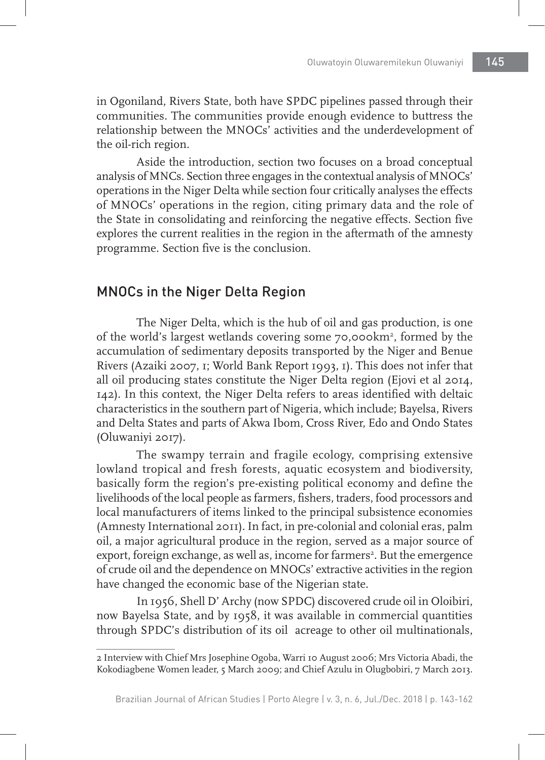in Ogoniland, Rivers State, both have SPDC pipelines passed through their communities. The communities provide enough evidence to buttress the relationship between the MNOCs' activities and the underdevelopment of the oil-rich region.

Aside the introduction, section two focuses on a broad conceptual analysis of MNCs. Section three engages in the contextual analysis of MNOCs' operations in the Niger Delta while section four critically analyses the effects of MNOCs' operations in the region, citing primary data and the role of the State in consolidating and reinforcing the negative effects. Section five explores the current realities in the region in the aftermath of the amnesty programme. Section five is the conclusion.

# MNOCs in the Niger Delta Region

The Niger Delta, which is the hub of oil and gas production, is one of the world's largest wetlands covering some 70,000km<sup>2</sup>, formed by the accumulation of sedimentary deposits transported by the Niger and Benue Rivers (Azaiki 2007, 1; World Bank Report 1993, 1). This does not infer that all oil producing states constitute the Niger Delta region (Ejovi et al 2014, 142). In this context, the Niger Delta refers to areas identified with deltaic characteristics in the southern part of Nigeria, which include; Bayelsa, Rivers and Delta States and parts of Akwa Ibom, Cross River, Edo and Ondo States (Oluwaniyi 2017).

The swampy terrain and fragile ecology, comprising extensive lowland tropical and fresh forests, aquatic ecosystem and biodiversity, basically form the region's pre-existing political economy and define the livelihoods of the local people as farmers, fishers, traders, food processors and local manufacturers of items linked to the principal subsistence economies (Amnesty International 2011). In fact, in pre-colonial and colonial eras, palm oil, a major agricultural produce in the region, served as a major source of export, foreign exchange, as well as, income for farmers<sup>2</sup>. But the emergence of crude oil and the dependence on MNOCs' extractive activities in the region have changed the economic base of the Nigerian state.

In 1956, Shell D' Archy (now SPDC) discovered crude oil in Oloibiri, now Bayelsa State, and by 1958, it was available in commercial quantities through SPDC's distribution of its oil acreage to other oil multinationals,

<sup>2</sup> Interview with Chief Mrs Josephine Ogoba, Warri 10 August 2006; Mrs Victoria Abadi, the Kokodiagbene Women leader, 5 March 2009; and Chief Azulu in Olugbobiri, 7 March 2013.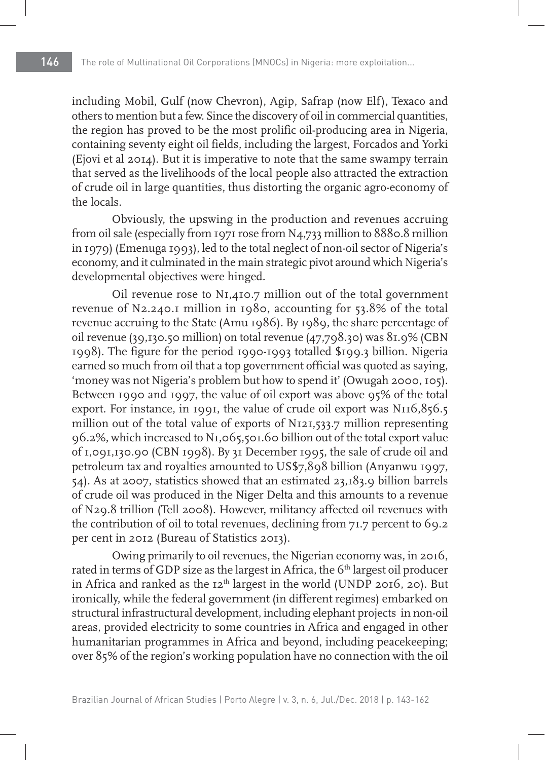including Mobil, Gulf (now Chevron), Agip, Safrap (now Elf), Texaco and others to mention but a few. Since the discovery of oil in commercial quantities, the region has proved to be the most prolific oil-producing area in Nigeria, containing seventy eight oil fields, including the largest, Forcados and Yorki (Ejovi et al 2014). But it is imperative to note that the same swampy terrain that served as the livelihoods of the local people also attracted the extraction of crude oil in large quantities, thus distorting the organic agro-economy of the locals.

Obviously, the upswing in the production and revenues accruing from oil sale (especially from 1971 rose from N4,733 million to 8880.8 million in 1979) (Emenuga 1993), led to the total neglect of non-oil sector of Nigeria's economy, and it culminated in the main strategic pivot around which Nigeria's developmental objectives were hinged.

Oil revenue rose to N1,410.7 million out of the total government revenue of N2.240.1 million in 1980, accounting for 53.8% of the total revenue accruing to the State (Amu 1986). By 1989, the share percentage of oil revenue (39,130.50 million) on total revenue (47,798.30) was  $81.9\%$  (CBN 1998). The figure for the period 1990-1993 totalled \$199.3 billion. Nigeria earned so much from oil that a top government official was quoted as saying, 'money was not Nigeria's problem but how to spend it' (Owugah 2000, 105). Between 1990 and 1997, the value of oil export was above 95% of the total export. For instance, in 1991, the value of crude oil export was N116,856.5 million out of the total value of exports of N121,533.7 million representing 96.2%, which increased to N1,065,501.60 billion out of the total export value of 1,091,130.90 (CBN 1998). By 31 December 1995, the sale of crude oil and petroleum tax and royalties amounted to US\$7,898 billion (Anyanwu 1997, 54). As at 2007, statistics showed that an estimated 23,183.9 billion barrels of crude oil was produced in the Niger Delta and this amounts to a revenue of N29.8 trillion (Tell 2008). However, militancy affected oil revenues with the contribution of oil to total revenues, declining from 71.7 percent to 69.2 per cent in 2012 (Bureau of Statistics 2013).

Owing primarily to oil revenues, the Nigerian economy was, in 2016, rated in terms of GDP size as the largest in Africa, the 6<sup>th</sup> largest oil producer in Africa and ranked as the  $12<sup>th</sup>$  largest in the world (UNDP 2016, 20). But ironically, while the federal government (in different regimes) embarked on structural infrastructural development, including elephant projects in non-oil areas, provided electricity to some countries in Africa and engaged in other humanitarian programmes in Africa and beyond, including peacekeeping; over 85% of the region's working population have no connection with the oil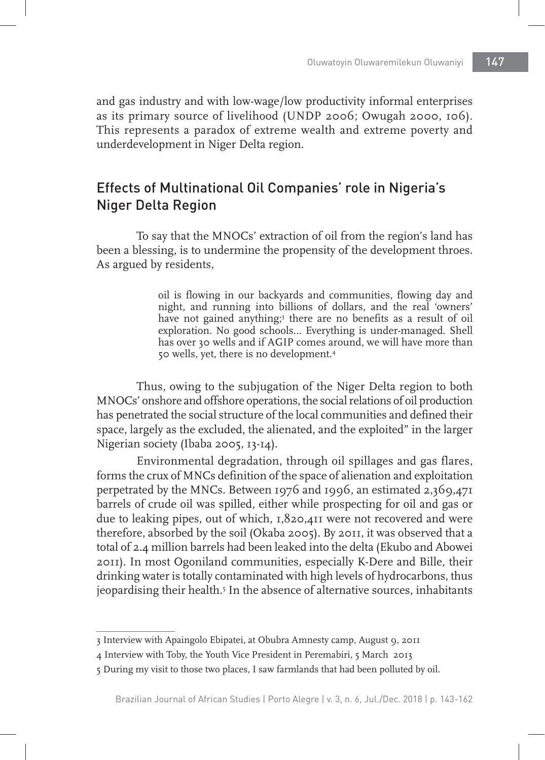and gas industry and with low-wage/low productivity informal enterprises as its primary source of livelihood (UNDP 2006; Owugah 2000, 106). This represents a paradox of extreme wealth and extreme poverty and underdevelopment in Niger Delta region.

# Effects of Multinational Oil Companies' role in Nigeria's Niger Delta Region

To say that the MNOCs' extraction of oil from the region's land has been a blessing, is to undermine the propensity of the development throes. As argued by residents,

> oil is flowing in our backyards and communities, flowing day and night, and running into billions of dollars, and the real 'owners' have not gained anything;<sup>3</sup> there are no benefits as a result of oil exploration. No good schools… Everything is under-managed. Shell has over 30 wells and if AGIP comes around, we will have more than 50 wells, yet, there is no development.4

Thus, owing to the subjugation of the Niger Delta region to both MNOCs' onshore and offshore operations, the social relations of oil production has penetrated the social structure of the local communities and defined their space, largely as the excluded, the alienated, and the exploited" in the larger Nigerian society (Ibaba 2005, 13-14).

Environmental degradation, through oil spillages and gas flares, forms the crux of MNCs definition of the space of alienation and exploitation perpetrated by the MNCs. Between 1976 and 1996, an estimated 2,369,471 barrels of crude oil was spilled, either while prospecting for oil and gas or due to leaking pipes, out of which, 1,820,411 were not recovered and were therefore, absorbed by the soil (Okaba 2005). By 2011, it was observed that a total of 2.4 million barrels had been leaked into the delta (Ekubo and Abowei 2011). In most Ogoniland communities, especially K-Dere and Bille, their drinking water is totally contaminated with high levels of hydrocarbons, thus jeopardising their health.<sup>5</sup> In the absence of alternative sources, inhabitants

<sup>3</sup> Interview with Apaingolo Ebipatei, at Obubra Amnesty camp, August 9, 2011

<sup>4</sup> Interview with Toby, the Youth Vice President in Peremabiri, 5 March 2013

<sup>5</sup> During my visit to those two places, I saw farmlands that had been polluted by oil.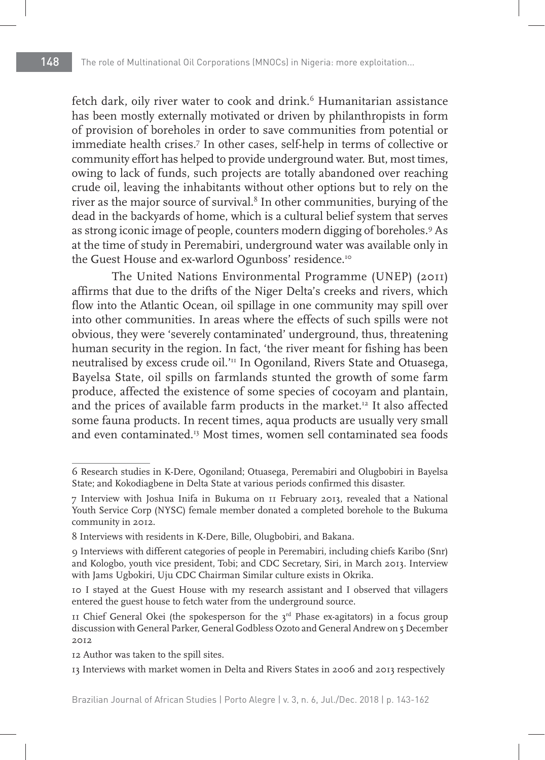fetch dark, oily river water to cook and drink.<sup>6</sup> Humanitarian assistance has been mostly externally motivated or driven by philanthropists in form of provision of boreholes in order to save communities from potential or immediate health crises.7 In other cases, self-help in terms of collective or community effort has helped to provide underground water. But, most times, owing to lack of funds, such projects are totally abandoned over reaching crude oil, leaving the inhabitants without other options but to rely on the river as the major source of survival.8 In other communities, burying of the dead in the backyards of home, which is a cultural belief system that serves as strong iconic image of people, counters modern digging of boreholes.9 As at the time of study in Peremabiri, underground water was available only in the Guest House and ex-warlord Ogunboss' residence.<sup>10</sup>

The United Nations Environmental Programme (UNEP) (2011) affirms that due to the drifts of the Niger Delta's creeks and rivers, which flow into the Atlantic Ocean, oil spillage in one community may spill over into other communities. In areas where the effects of such spills were not obvious, they were 'severely contaminated' underground, thus, threatening human security in the region. In fact, 'the river meant for fishing has been neutralised by excess crude oil.'11 In Ogoniland, Rivers State and Otuasega, Bayelsa State, oil spills on farmlands stunted the growth of some farm produce, affected the existence of some species of cocoyam and plantain, and the prices of available farm products in the market.<sup>12</sup> It also affected some fauna products. In recent times, aqua products are usually very small and even contaminated.13 Most times, women sell contaminated sea foods

<sup>6</sup> Research studies in K-Dere, Ogoniland; Otuasega, Peremabiri and Olugbobiri in Bayelsa State; and Kokodiagbene in Delta State at various periods confirmed this disaster.

<sup>7</sup> Interview with Joshua Inifa in Bukuma on 11 February 2013, revealed that a National Youth Service Corp (NYSC) female member donated a completed borehole to the Bukuma community in 2012.

<sup>8</sup> Interviews with residents in K-Dere, Bille, Olugbobiri, and Bakana.

<sup>9</sup> Interviews with different categories of people in Peremabiri, including chiefs Karibo (Snr) and Kologbo, youth vice president, Tobi; and CDC Secretary, Siri, in March 2013. Interview with Jams Ugbokiri, Uju CDC Chairman Similar culture exists in Okrika.

<sup>10</sup> I stayed at the Guest House with my research assistant and I observed that villagers entered the guest house to fetch water from the underground source.

<sup>11</sup> Chief General Okei (the spokesperson for the  $3<sup>rd</sup>$  Phase ex-agitators) in a focus group discussion with General Parker, General Godbless Ozoto and General Andrew on 5 December 2012

<sup>12</sup> Author was taken to the spill sites.

<sup>13</sup> Interviews with market women in Delta and Rivers States in 2006 and 2013 respectively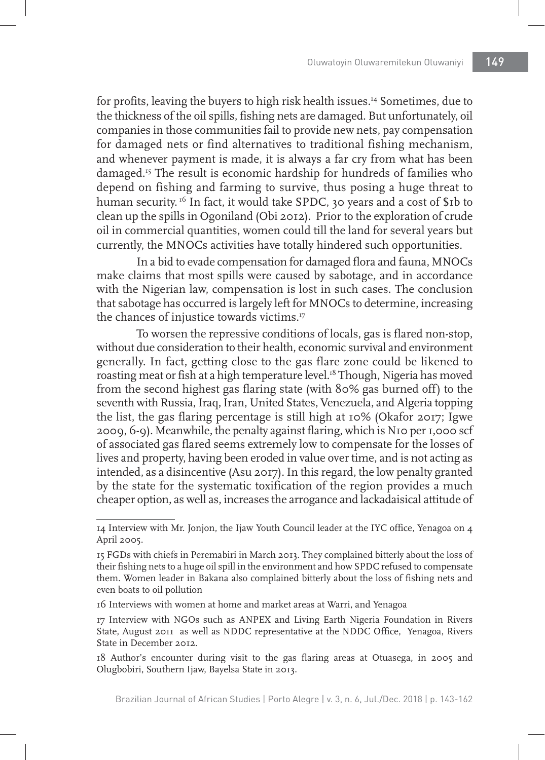for profits, leaving the buyers to high risk health issues.14 Sometimes, due to the thickness of the oil spills, fishing nets are damaged. But unfortunately, oil companies in those communities fail to provide new nets, pay compensation for damaged nets or find alternatives to traditional fishing mechanism, and whenever payment is made, it is always a far cry from what has been damaged.15 The result is economic hardship for hundreds of families who depend on fishing and farming to survive, thus posing a huge threat to human security.<sup>16</sup> In fact, it would take SPDC, 30 years and a cost of \$1b to clean up the spills in Ogoniland (Obi 2012). Prior to the exploration of crude oil in commercial quantities, women could till the land for several years but currently, the MNOCs activities have totally hindered such opportunities.

In a bid to evade compensation for damaged flora and fauna, MNOCs make claims that most spills were caused by sabotage, and in accordance with the Nigerian law, compensation is lost in such cases. The conclusion that sabotage has occurred is largely left for MNOCs to determine, increasing the chances of injustice towards victims.<sup>17</sup>

To worsen the repressive conditions of locals, gas is flared non-stop, without due consideration to their health, economic survival and environment generally. In fact, getting close to the gas flare zone could be likened to roasting meat or fish at a high temperature level.<sup>18</sup> Though, Nigeria has moved from the second highest gas flaring state (with 80% gas burned off) to the seventh with Russia, Iraq, Iran, United States, Venezuela, and Algeria topping the list, the gas flaring percentage is still high at 10% (Okafor 2017; Igwe 2009, 6-9). Meanwhile, the penalty against flaring, which is N10 per 1,000 scf of associated gas flared seems extremely low to compensate for the losses of lives and property, having been eroded in value over time, and is not acting as intended, as a disincentive (Asu 2017). In this regard, the low penalty granted by the state for the systematic toxification of the region provides a much cheaper option, as well as, increases the arrogance and lackadaisical attitude of

<sup>14</sup> Interview with Mr. Jonjon, the Ijaw Youth Council leader at the IYC office, Yenagoa on 4 April 2005.

<sup>15</sup> FGDs with chiefs in Peremabiri in March 2013. They complained bitterly about the loss of their fishing nets to a huge oil spill in the environment and how SPDC refused to compensate them. Women leader in Bakana also complained bitterly about the loss of fishing nets and even boats to oil pollution

<sup>16</sup> Interviews with women at home and market areas at Warri, and Yenagoa

<sup>17</sup> Interview with NGOs such as ANPEX and Living Earth Nigeria Foundation in Rivers State, August 2011 as well as NDDC representative at the NDDC Office, Yenagoa, Rivers State in December 2012.

<sup>18</sup> Author's encounter during visit to the gas flaring areas at Otuasega, in 2005 and Olugbobiri, Southern Ijaw, Bayelsa State in 2013.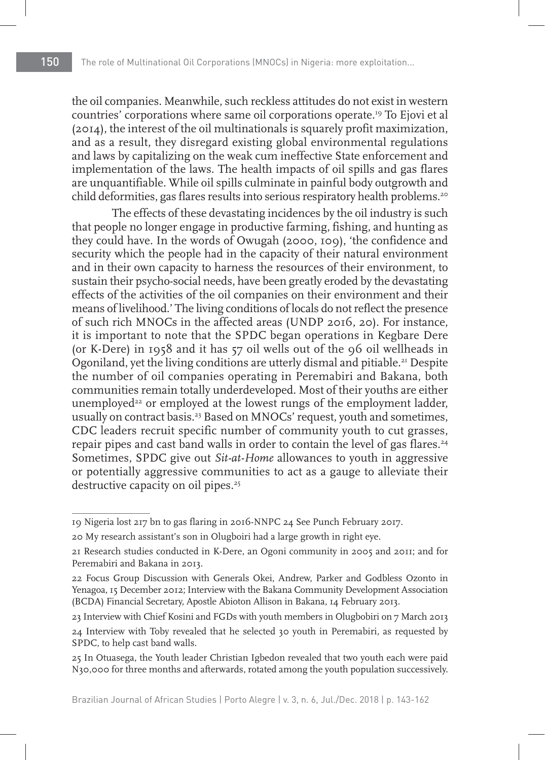the oil companies. Meanwhile, such reckless attitudes do not exist in western countries' corporations where same oil corporations operate.19 To Ejovi et al (2014), the interest of the oil multinationals is squarely profit maximization, and as a result, they disregard existing global environmental regulations and laws by capitalizing on the weak cum ineffective State enforcement and implementation of the laws. The health impacts of oil spills and gas flares are unquantifiable. While oil spills culminate in painful body outgrowth and child deformities, gas flares results into serious respiratory health problems.<sup>20</sup>

The effects of these devastating incidences by the oil industry is such that people no longer engage in productive farming, fishing, and hunting as they could have. In the words of Owugah (2000, 109), 'the confidence and security which the people had in the capacity of their natural environment and in their own capacity to harness the resources of their environment, to sustain their psycho-social needs, have been greatly eroded by the devastating effects of the activities of the oil companies on their environment and their means of livelihood.' The living conditions of locals do not reflect the presence of such rich MNOCs in the affected areas (UNDP 2016, 20). For instance, it is important to note that the SPDC began operations in Kegbare Dere (or K-Dere) in 1958 and it has 57 oil wells out of the 96 oil wellheads in Ogoniland, yet the living conditions are utterly dismal and pitiable.<sup>21</sup> Despite the number of oil companies operating in Peremabiri and Bakana, both communities remain totally underdeveloped. Most of their youths are either unemployed<sup>22</sup> or employed at the lowest rungs of the employment ladder, usually on contract basis.<sup>23</sup> Based on MNOCs' request, youth and sometimes, CDC leaders recruit specific number of community youth to cut grasses, repair pipes and cast band walls in order to contain the level of gas flares.<sup>24</sup> Sometimes, SPDC give out *Sit-at-Home* allowances to youth in aggressive or potentially aggressive communities to act as a gauge to alleviate their destructive capacity on oil pipes.<sup>25</sup>

<sup>19</sup> Nigeria lost 217 bn to gas flaring in 2016-NNPC 24 See Punch February 2017.

<sup>20</sup> My research assistant's son in Olugboiri had a large growth in right eye.

<sup>21</sup> Research studies conducted in K-Dere, an Ogoni community in 2005 and 2011; and for Peremabiri and Bakana in 2013.

<sup>22</sup> Focus Group Discussion with Generals Okei, Andrew, Parker and Godbless Ozonto in Yenagoa, 15 December 2012; Interview with the Bakana Community Development Association (BCDA) Financial Secretary, Apostle Abioton Allison in Bakana, 14 February 2013.

<sup>23</sup> Interview with Chief Kosini and FGDs with youth members in Olugbobiri on 7 March 2013

<sup>24</sup> Interview with Toby revealed that he selected 30 youth in Peremabiri, as requested by SPDC, to help cast band walls.

<sup>25</sup> In Otuasega, the Youth leader Christian Igbedon revealed that two youth each were paid N30,000 for three months and afterwards, rotated among the youth population successively.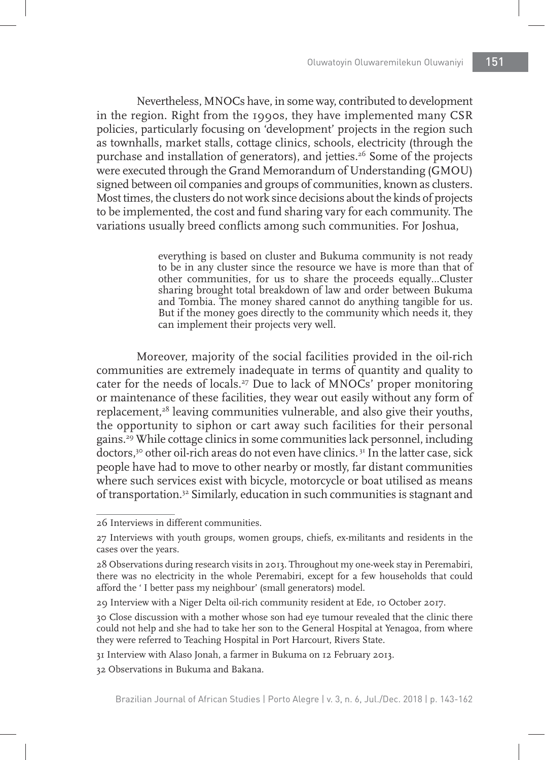Nevertheless, MNOCs have, in some way, contributed to development in the region. Right from the 1990s, they have implemented many CSR policies, particularly focusing on 'development' projects in the region such as townhalls, market stalls, cottage clinics, schools, electricity (through the purchase and installation of generators), and jetties.<sup>26</sup> Some of the projects were executed through the Grand Memorandum of Understanding (GMOU) signed between oil companies and groups of communities, known as clusters. Most times, the clusters do not work since decisions about the kinds of projects to be implemented, the cost and fund sharing vary for each community. The variations usually breed conflicts among such communities. For Joshua,

> everything is based on cluster and Bukuma community is not ready to be in any cluster since the resource we have is more than that of other communities, for us to share the proceeds equally…Cluster sharing brought total breakdown of law and order between Bukuma and Tombia. The money shared cannot do anything tangible for us. But if the money goes directly to the community which needs it, they can implement their projects very well.

Moreover, majority of the social facilities provided in the oil-rich communities are extremely inadequate in terms of quantity and quality to cater for the needs of locals.27 Due to lack of MNOCs' proper monitoring or maintenance of these facilities, they wear out easily without any form of replacement,<sup>28</sup> leaving communities vulnerable, and also give their youths, the opportunity to siphon or cart away such facilities for their personal gains.29 While cottage clinics in some communities lack personnel, including doctors,<sup>30</sup> other oil-rich areas do not even have clinics.<sup>31</sup> In the latter case, sick people have had to move to other nearby or mostly, far distant communities where such services exist with bicycle, motorcycle or boat utilised as means of transportation.32 Similarly, education in such communities is stagnant and

<sup>26</sup> Interviews in different communities.

<sup>27</sup> Interviews with youth groups, women groups, chiefs, ex-militants and residents in the cases over the years.

<sup>28</sup> Observations during research visits in 2013. Throughout my one-week stay in Peremabiri, there was no electricity in the whole Peremabiri, except for a few households that could afford the ' I better pass my neighbour' (small generators) model.

<sup>29</sup> Interview with a Niger Delta oil-rich community resident at Ede, 10 October 2017.

<sup>30</sup> Close discussion with a mother whose son had eye tumour revealed that the clinic there could not help and she had to take her son to the General Hospital at Yenagoa, from where they were referred to Teaching Hospital in Port Harcourt, Rivers State.

<sup>31</sup> Interview with Alaso Jonah, a farmer in Bukuma on 12 February 2013.

<sup>32</sup> Observations in Bukuma and Bakana.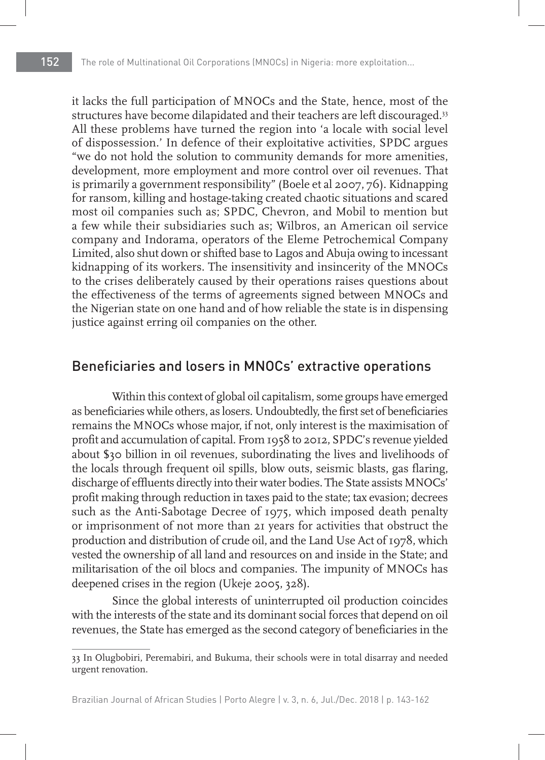it lacks the full participation of MNOCs and the State, hence, most of the structures have become dilapidated and their teachers are left discouraged.<sup>33</sup> All these problems have turned the region into 'a locale with social level of dispossession.' In defence of their exploitative activities, SPDC argues "we do not hold the solution to community demands for more amenities, development, more employment and more control over oil revenues. That is primarily a government responsibility" (Boele et al 2007, 76). Kidnapping for ransom, killing and hostage-taking created chaotic situations and scared most oil companies such as; SPDC, Chevron, and Mobil to mention but a few while their subsidiaries such as; Wilbros, an American oil service company and Indorama, operators of the Eleme Petrochemical Company Limited, also shut down or shifted base to Lagos and Abuja owing to incessant kidnapping of its workers. The insensitivity and insincerity of the MNOCs to the crises deliberately caused by their operations raises questions about the effectiveness of the terms of agreements signed between MNOCs and the Nigerian state on one hand and of how reliable the state is in dispensing justice against erring oil companies on the other.

#### Beneficiaries and losers in MNOCs' extractive operations

Within this context of global oil capitalism, some groups have emerged as beneficiaries while others, as losers. Undoubtedly, the first set of beneficiaries remains the MNOCs whose major, if not, only interest is the maximisation of profit and accumulation of capital. From 1958 to 2012, SPDC's revenue yielded about \$30 billion in oil revenues, subordinating the lives and livelihoods of the locals through frequent oil spills, blow outs, seismic blasts, gas flaring, discharge of effluents directly into their water bodies. The State assists MNOCs' profit making through reduction in taxes paid to the state; tax evasion; decrees such as the Anti-Sabotage Decree of 1975, which imposed death penalty or imprisonment of not more than 21 years for activities that obstruct the production and distribution of crude oil, and the Land Use Act of 1978, which vested the ownership of all land and resources on and inside in the State; and militarisation of the oil blocs and companies. The impunity of MNOCs has deepened crises in the region (Ukeje 2005, 328).

Since the global interests of uninterrupted oil production coincides with the interests of the state and its dominant social forces that depend on oil revenues, the State has emerged as the second category of beneficiaries in the

<sup>33</sup> In Olugbobiri, Peremabiri, and Bukuma, their schools were in total disarray and needed urgent renovation.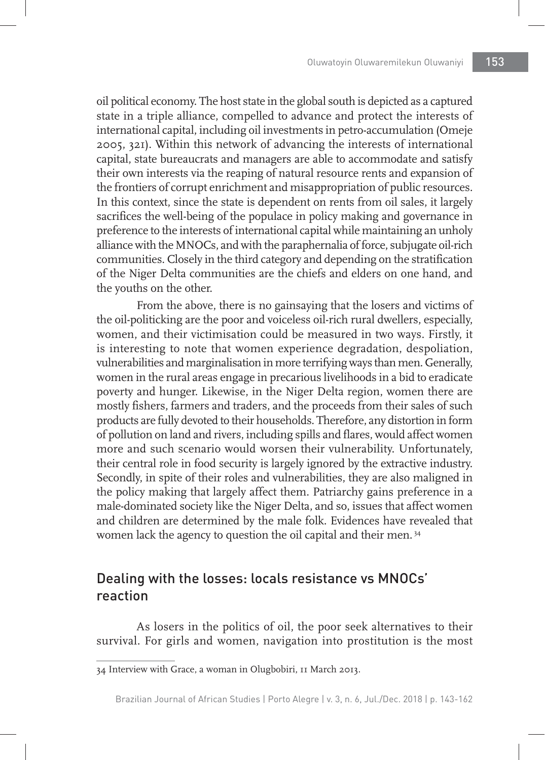oil political economy. The host state in the global south is depicted as a captured state in a triple alliance, compelled to advance and protect the interests of international capital, including oil investments in petro-accumulation (Omeje 2005, 321). Within this network of advancing the interests of international capital, state bureaucrats and managers are able to accommodate and satisfy their own interests via the reaping of natural resource rents and expansion of the frontiers of corrupt enrichment and misappropriation of public resources. In this context, since the state is dependent on rents from oil sales, it largely sacrifices the well-being of the populace in policy making and governance in preference to the interests of international capital while maintaining an unholy alliance with the MNOCs, and with the paraphernalia of force, subjugate oil-rich communities. Closely in the third category and depending on the stratification of the Niger Delta communities are the chiefs and elders on one hand, and the youths on the other.

From the above, there is no gainsaying that the losers and victims of the oil-politicking are the poor and voiceless oil-rich rural dwellers, especially, women, and their victimisation could be measured in two ways. Firstly, it is interesting to note that women experience degradation, despoliation, vulnerabilities and marginalisation in more terrifying ways than men. Generally, women in the rural areas engage in precarious livelihoods in a bid to eradicate poverty and hunger. Likewise, in the Niger Delta region, women there are mostly fishers, farmers and traders, and the proceeds from their sales of such products are fully devoted to their households. Therefore, any distortion in form of pollution on land and rivers, including spills and flares, would affect women more and such scenario would worsen their vulnerability. Unfortunately, their central role in food security is largely ignored by the extractive industry. Secondly, in spite of their roles and vulnerabilities, they are also maligned in the policy making that largely affect them. Patriarchy gains preference in a male-dominated society like the Niger Delta, and so, issues that affect women and children are determined by the male folk. Evidences have revealed that women lack the agency to question the oil capital and their men. 34

## Dealing with the losses: locals resistance vs MNOCs' reaction

As losers in the politics of oil, the poor seek alternatives to their survival. For girls and women, navigation into prostitution is the most

<sup>34</sup> Interview with Grace, a woman in Olugbobiri, 11 March 2013.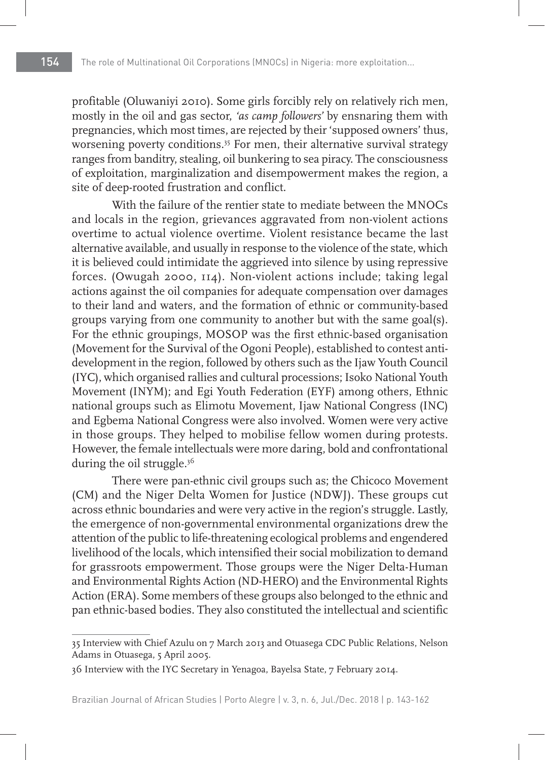profitable (Oluwaniyi 2010). Some girls forcibly rely on relatively rich men, mostly in the oil and gas sector, *'as camp followers'* by ensnaring them with pregnancies, which most times, are rejected by their 'supposed owners' thus, worsening poverty conditions.<sup>35</sup> For men, their alternative survival strategy ranges from banditry, stealing, oil bunkering to sea piracy. The consciousness of exploitation, marginalization and disempowerment makes the region, a site of deep-rooted frustration and conflict.

With the failure of the rentier state to mediate between the MNOCs and locals in the region, grievances aggravated from non-violent actions overtime to actual violence overtime. Violent resistance became the last alternative available, and usually in response to the violence of the state, which it is believed could intimidate the aggrieved into silence by using repressive forces. (Owugah 2000, 114). Non-violent actions include; taking legal actions against the oil companies for adequate compensation over damages to their land and waters, and the formation of ethnic or community-based groups varying from one community to another but with the same goal(s). For the ethnic groupings, MOSOP was the first ethnic-based organisation (Movement for the Survival of the Ogoni People), established to contest antidevelopment in the region, followed by others such as the Ijaw Youth Council (IYC), which organised rallies and cultural processions; Isoko National Youth Movement (INYM); and Egi Youth Federation (EYF) among others, Ethnic national groups such as Elimotu Movement, Ijaw National Congress (INC) and Egbema National Congress were also involved. Women were very active in those groups. They helped to mobilise fellow women during protests. However, the female intellectuals were more daring, bold and confrontational during the oil struggle.<sup>36</sup>

There were pan-ethnic civil groups such as; the Chicoco Movement (CM) and the Niger Delta Women for Justice (NDWJ). These groups cut across ethnic boundaries and were very active in the region's struggle. Lastly, the emergence of non-governmental environmental organizations drew the attention of the public to life-threatening ecological problems and engendered livelihood of the locals, which intensified their social mobilization to demand for grassroots empowerment. Those groups were the Niger Delta-Human and Environmental Rights Action (ND-HERO) and the Environmental Rights Action (ERA). Some members of these groups also belonged to the ethnic and pan ethnic-based bodies. They also constituted the intellectual and scientific

<sup>35</sup> Interview with Chief Azulu on 7 March 2013 and Otuasega CDC Public Relations, Nelson Adams in Otuasega, 5 April 2005.

<sup>36</sup> Interview with the IYC Secretary in Yenagoa, Bayelsa State, 7 February 2014.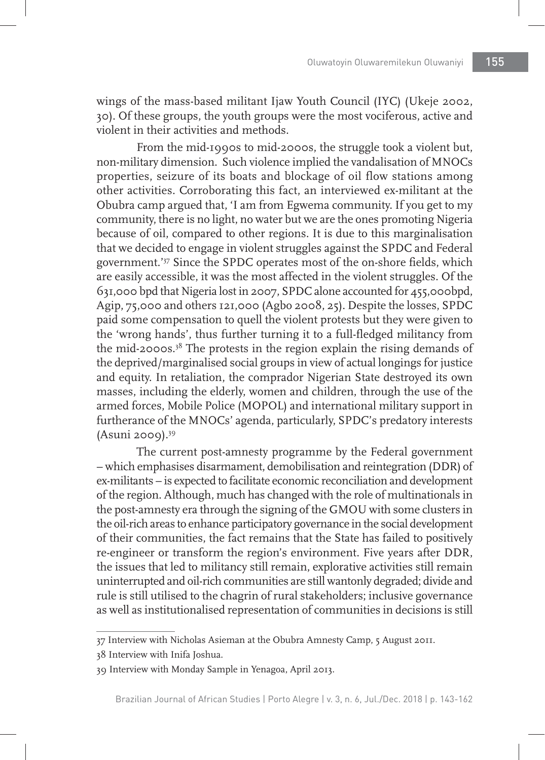wings of the mass-based militant Ijaw Youth Council (IYC) (Ukeje 2002, 30). Of these groups, the youth groups were the most vociferous, active and violent in their activities and methods.

From the mid-1990s to mid-2000s, the struggle took a violent but, non-military dimension. Such violence implied the vandalisation of MNOCs properties, seizure of its boats and blockage of oil flow stations among other activities. Corroborating this fact, an interviewed ex-militant at the Obubra camp argued that, 'I am from Egwema community. If you get to my community, there is no light, no water but we are the ones promoting Nigeria because of oil, compared to other regions. It is due to this marginalisation that we decided to engage in violent struggles against the SPDC and Federal government.'37 Since the SPDC operates most of the on-shore fields, which are easily accessible, it was the most affected in the violent struggles. Of the 631,000 bpd that Nigeria lost in 2007, SPDC alone accounted for 455,000bpd, Agip, 75,000 and others 121,000 (Agbo 2008, 25). Despite the losses, SPDC paid some compensation to quell the violent protests but they were given to the 'wrong hands', thus further turning it to a full-fledged militancy from the mid-2000s.38 The protests in the region explain the rising demands of the deprived/marginalised social groups in view of actual longings for justice and equity. In retaliation, the comprador Nigerian State destroyed its own masses, including the elderly, women and children, through the use of the armed forces, Mobile Police (MOPOL) and international military support in furtherance of the MNOCs' agenda, particularly, SPDC's predatory interests  $(Asumi 2009).$ <sup>39</sup>

The current post-amnesty programme by the Federal government – which emphasises disarmament, demobilisation and reintegration (DDR) of ex-militants – is expected to facilitate economic reconciliation and development of the region. Although, much has changed with the role of multinationals in the post-amnesty era through the signing of the GMOU with some clusters in the oil-rich areas to enhance participatory governance in the social development of their communities, the fact remains that the State has failed to positively re-engineer or transform the region's environment. Five years after DDR, the issues that led to militancy still remain, explorative activities still remain uninterrupted and oil-rich communities are still wantonly degraded; divide and rule is still utilised to the chagrin of rural stakeholders; inclusive governance as well as institutionalised representation of communities in decisions is still

<sup>37</sup> Interview with Nicholas Asieman at the Obubra Amnesty Camp, 5 August 2011.

<sup>38</sup> Interview with Inifa Joshua.

<sup>39</sup> Interview with Monday Sample in Yenagoa, April 2013.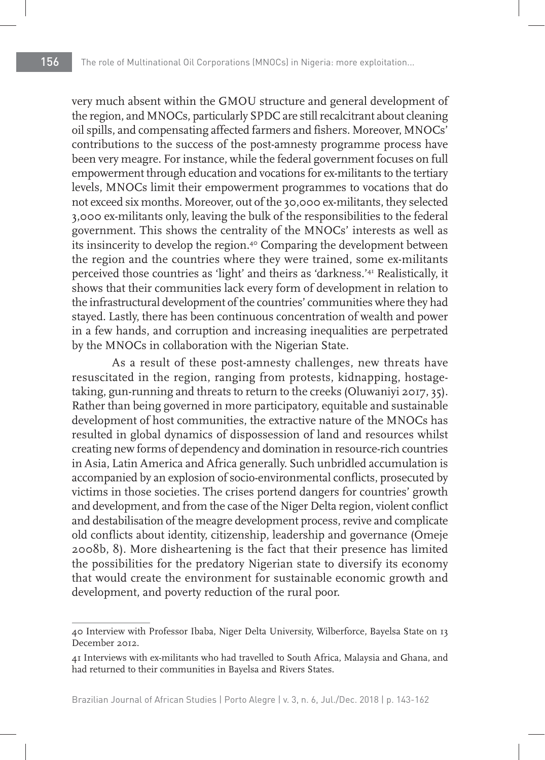very much absent within the GMOU structure and general development of the region, and MNOCs, particularly SPDC are still recalcitrant about cleaning oil spills, and compensating affected farmers and fishers. Moreover, MNOCs' contributions to the success of the post-amnesty programme process have been very meagre. For instance, while the federal government focuses on full empowerment through education and vocations for ex-militants to the tertiary levels, MNOCs limit their empowerment programmes to vocations that do not exceed six months. Moreover, out of the 30,000 ex-militants, they selected 3,000 ex-militants only, leaving the bulk of the responsibilities to the federal government. This shows the centrality of the MNOCs' interests as well as its insincerity to develop the region.40 Comparing the development between the region and the countries where they were trained, some ex-militants perceived those countries as 'light' and theirs as 'darkness.'41 Realistically, it shows that their communities lack every form of development in relation to the infrastructural development of the countries' communities where they had stayed. Lastly, there has been continuous concentration of wealth and power in a few hands, and corruption and increasing inequalities are perpetrated by the MNOCs in collaboration with the Nigerian State.

As a result of these post-amnesty challenges, new threats have resuscitated in the region, ranging from protests, kidnapping, hostagetaking, gun-running and threats to return to the creeks (Oluwaniyi 2017, 35). Rather than being governed in more participatory, equitable and sustainable development of host communities, the extractive nature of the MNOCs has resulted in global dynamics of dispossession of land and resources whilst creating new forms of dependency and domination in resource-rich countries in Asia, Latin America and Africa generally. Such unbridled accumulation is accompanied by an explosion of socio-environmental conflicts, prosecuted by victims in those societies. The crises portend dangers for countries' growth and development, and from the case of the Niger Delta region, violent conflict and destabilisation of the meagre development process, revive and complicate old conflicts about identity, citizenship, leadership and governance (Omeje 2008b, 8). More disheartening is the fact that their presence has limited the possibilities for the predatory Nigerian state to diversify its economy that would create the environment for sustainable economic growth and development, and poverty reduction of the rural poor.

<sup>40</sup> Interview with Professor Ibaba, Niger Delta University, Wilberforce, Bayelsa State on 13 December 2012.

<sup>41</sup> Interviews with ex-militants who had travelled to South Africa, Malaysia and Ghana, and had returned to their communities in Bayelsa and Rivers States.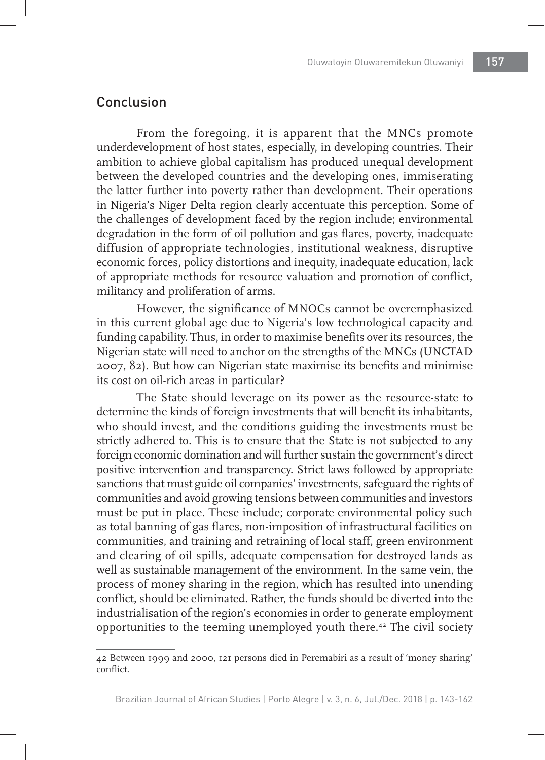## Conclusion

From the foregoing, it is apparent that the MNCs promote underdevelopment of host states, especially, in developing countries. Their ambition to achieve global capitalism has produced unequal development between the developed countries and the developing ones, immiserating the latter further into poverty rather than development. Their operations in Nigeria's Niger Delta region clearly accentuate this perception. Some of the challenges of development faced by the region include; environmental degradation in the form of oil pollution and gas flares, poverty, inadequate diffusion of appropriate technologies, institutional weakness, disruptive economic forces, policy distortions and inequity, inadequate education, lack of appropriate methods for resource valuation and promotion of conflict, militancy and proliferation of arms.

However, the significance of MNOCs cannot be overemphasized in this current global age due to Nigeria's low technological capacity and funding capability. Thus, in order to maximise benefits over its resources, the Nigerian state will need to anchor on the strengths of the MNCs (UNCTAD 2007, 82). But how can Nigerian state maximise its benefits and minimise its cost on oil-rich areas in particular?

The State should leverage on its power as the resource-state to determine the kinds of foreign investments that will benefit its inhabitants, who should invest, and the conditions guiding the investments must be strictly adhered to. This is to ensure that the State is not subjected to any foreign economic domination and will further sustain the government's direct positive intervention and transparency. Strict laws followed by appropriate sanctions that must guide oil companies' investments, safeguard the rights of communities and avoid growing tensions between communities and investors must be put in place. These include; corporate environmental policy such as total banning of gas flares, non-imposition of infrastructural facilities on communities, and training and retraining of local staff, green environment and clearing of oil spills, adequate compensation for destroyed lands as well as sustainable management of the environment. In the same vein, the process of money sharing in the region, which has resulted into unending conflict, should be eliminated. Rather, the funds should be diverted into the industrialisation of the region's economies in order to generate employment opportunities to the teeming unemployed youth there.42 The civil society

<sup>42</sup> Between 1999 and 2000, 121 persons died in Peremabiri as a result of 'money sharing' conflict.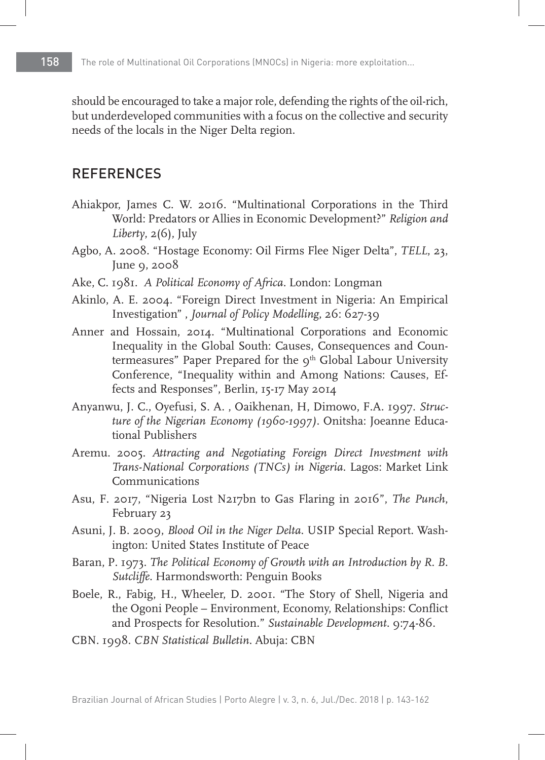should be encouraged to take a major role, defending the rights of the oil-rich, but underdeveloped communities with a focus on the collective and security needs of the locals in the Niger Delta region.

#### REFERENCES

- Ahiakpor, James C. W. 2016. "Multinational Corporations in the Third World: Predators or Allies in Economic Development?" *Religion and Liberty*, 2(6), July
- Agbo, A. 2008. "Hostage Economy: Oil Firms Flee Niger Delta", *TELL*, 23, June 9, 2008
- Ake, C. 1981. *A Political Economy of Africa.* London: Longman
- Akinlo, A. E. 2004. "Foreign Direct Investment in Nigeria: An Empirical Investigation" , *Journal of Policy Modelling*, 26: 627-39
- Anner and Hossain, 2014. "Multinational Corporations and Economic Inequality in the Global South: Causes, Consequences and Countermeasures" Paper Prepared for the 9<sup>th</sup> Global Labour University Conference, "Inequality within and Among Nations: Causes, Effects and Responses", Berlin, 15-17 May 2014
- Anyanwu, J. C., Oyefusi, S. A. , Oaikhenan, H, Dimowo, F.A. 1997. *Structure of the Nigerian Economy (1960-1997)*. Onitsha: Joeanne Educational Publishers
- Aremu. 2005. *Attracting and Negotiating Foreign Direct Investment with Trans-National Corporations (TNCs) in Nigeria*. Lagos: Market Link Communications
- Asu, F. 2017, "Nigeria Lost N217bn to Gas Flaring in 2016", *The Punch*, February 23
- Asuni, J. B. 2009, *Blood Oil in the Niger Delta*. USIP Special Report. Washington: United States Institute of Peace
- Baran, P. 1973. *The Political Economy of Growth with an Introduction by R. B. Sutcliffe*. Harmondsworth: Penguin Books
- Boele, R., Fabig, H., Wheeler, D. 2001. "The Story of Shell, Nigeria and the Ogoni People – Environment, Economy, Relationships: Conflict and Prospects for Resolution." *Sustainable Development*. 9:74-86.
- CBN. 1998. *CBN Statistical Bulletin*. Abuja: CBN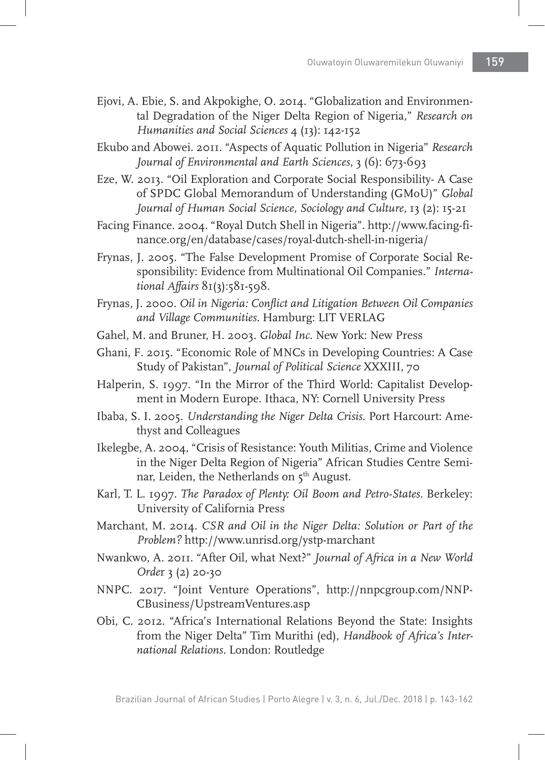- Ejovi, A. Ebie, S. and Akpokighe, O. 2014. "Globalization and Environmental Degradation of the Niger Delta Region of Nigeria," *Research on Humanities and Social Sciences* 4 (13): 142-152
- Ekubo and Abowei. 2011. "Aspects of Aquatic Pollution in Nigeria" *Research Journal of Environmental and Earth Sciences*, 3 (6): 673-693
- Eze, W. 2013. "Oil Exploration and Corporate Social Responsibility- A Case of SPDC Global Memorandum of Understanding (GMoU)" *Global Journal of Human Social Science, Sociology and Culture,* 13 (2): 15-21
- Facing Finance. 2004. "Royal Dutch Shell in Nigeria". http://www.facing-finance.org/en/database/cases/royal-dutch-shell-in-nigeria/
- Frynas, J. 2005. "The False Development Promise of Corporate Social Responsibility: Evidence from Multinational Oil Companies." *International Affairs* 81(3):581-598.
- Frynas, J. 2000. *Oil in Nigeria: Conflict and Litigation Between Oil Companies and Village Communities.* Hamburg: LIT VERLAG
- Gahel, M. and Bruner, H. 2003. *Global Inc.* New York: New Press
- Ghani, F. 2015. "Economic Role of MNCs in Developing Countries: A Case Study of Pakistan", *Journal of Political Science* XXXIII, 70
- Halperin, S. 1997. "In the Mirror of the Third World: Capitalist Development in Modern Europe. Ithaca, NY: Cornell University Press
- Ibaba, S. I. 2005. *Understanding the Niger Delta Crisis*. Port Harcourt: Amethyst and Colleagues
- Ikelegbe, A. 2004, "Crisis of Resistance: Youth Militias, Crime and Violence in the Niger Delta Region of Nigeria" African Studies Centre Seminar, Leiden, the Netherlands on 5<sup>th</sup> August.
- Karl, T. L. 1997. *The Paradox of Plenty: Oil Boom and Petro-States.* Berkeley: University of California Press
- Marchant, M. 2014. *CSR and Oil in the Niger Delta: Solution or Part of the Problem?* http://www.unrisd.org/ystp-marchant
- Nwankwo, A. 2011. "After Oil, what Next?" *Journal of Africa in a New World Orde*r 3 (2) 20-30
- NNPC. 2017. "Joint Venture Operations", http://nnpcgroup.com/NNP-CBusiness/UpstreamVentures.asp
- Obi, C. 2012. "Africa's International Relations Beyond the State: Insights from the Niger Delta" Tim Murithi (ed), *Handbook of Africa's International Relations.* London: Routledge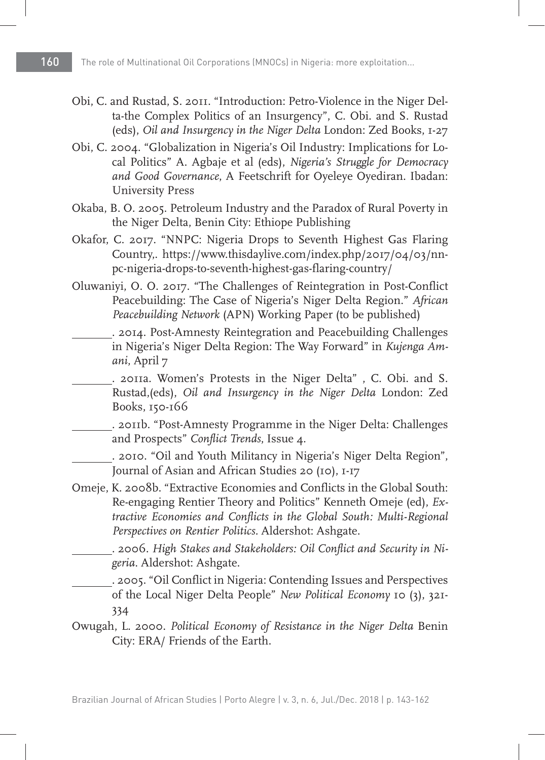- Obi, C. and Rustad, S. 2011. "Introduction: Petro-Violence in the Niger Delta-the Complex Politics of an Insurgency", C. Obi. and S. Rustad (eds), *Oil and Insurgency in the Niger Delta* London: Zed Books, 1-27
- Obi, C. 2004. "Globalization in Nigeria's Oil Industry: Implications for Local Politics" A. Agbaje et al (eds), *Nigeria's Struggle for Democracy and Good Governance*, A Feetschrift for Oyeleye Oyediran. Ibadan: University Press
- Okaba, B. O. 2005. Petroleum Industry and the Paradox of Rural Poverty in the Niger Delta, Benin City: Ethiope Publishing
- Okafor, C. 2017. "NNPC: Nigeria Drops to Seventh Highest Gas Flaring Country,. https://www.thisdaylive.com/index.php/2017/04/03/nnpc-nigeria-drops-to-seventh-highest-gas-flaring-country/
- Oluwaniyi, O. O. 2017. "The Challenges of Reintegration in Post-Conflict Peacebuilding: The Case of Nigeria's Niger Delta Region." *African Peacebuilding Network* (APN) Working Paper (to be published)
	- . 2014. Post-Amnesty Reintegration and Peacebuilding Challenges in Nigeria's Niger Delta Region: The Way Forward" in *Kujenga Amani*, April 7
		- . 2011a. Women's Protests in the Niger Delta" , C. Obi. and S. Rustad,(eds), *Oil and Insurgency in the Niger Delta* London: Zed Books, 150-166
	- . 2011b. "Post-Amnesty Programme in the Niger Delta: Challenges and Prospects" *Conflict Trends*, Issue 4.
	- . 2010. "Oil and Youth Militancy in Nigeria's Niger Delta Region", Journal of Asian and African Studies 20 (10), 1-17
- Omeje, K. 2008b. "Extractive Economies and Conflicts in the Global South: Re-engaging Rentier Theory and Politics" Kenneth Omeje (ed), *Extractive Economies and Conflicts in the Global South: Multi-Regional Perspectives on Rentier Politics.* Aldershot: Ashgate.
	- . 2006. *High Stakes and Stakeholders: Oil Conflict and Security in Nigeria*. Aldershot: Ashgate.

 . 2005. "Oil Conflict in Nigeria: Contending Issues and Perspectives of the Local Niger Delta People" *New Political Economy* 10 (3), 321- 334

Owugah, L. 2000. *Political Economy of Resistance in the Niger Delta* Benin City: ERA/ Friends of the Earth.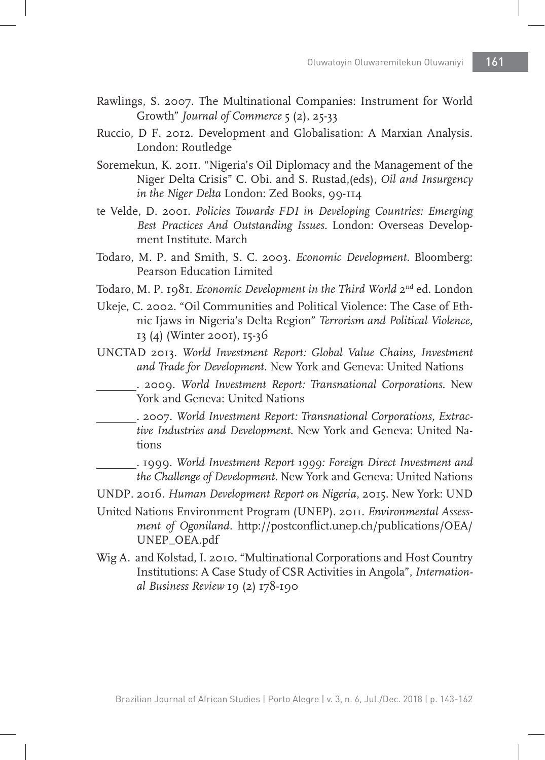- Rawlings, S. 2007. The Multinational Companies: Instrument for World Growth" *Journal of Commerce* 5 (2), 25-33
- Ruccio, D F. 2012. Development and Globalisation: A Marxian Analysis. London: Routledge
- Soremekun, K. 2011. "Nigeria's Oil Diplomacy and the Management of the Niger Delta Crisis" C. Obi. and S. Rustad,(eds), *Oil and Insurgency in the Niger Delta* London: Zed Books, 99-114
- te Velde, D. 2001. *Policies Towards FDI in Developing Countries: Emerging Best Practices And Outstanding Issues.* London: Overseas Development Institute. March
- Todaro, M. P. and Smith, S. C. 2003. *Economic Development*. Bloomberg: Pearson Education Limited
- Todaro, M. P. 1981. *Economic Development in the Third World* 2nd ed. London
- Ukeje, C. 2002. "Oil Communities and Political Violence: The Case of Ethnic Ijaws in Nigeria's Delta Region" *Terrorism and Political Violence,*  13 (4) (Winter 2001), 15-36
- UNCTAD 2013. *World Investment Report: Global Value Chains, Investment and Trade for Development.* New York and Geneva: United Nations
	- . 2009. *World Investment Report: Transnational Corporations*. New York and Geneva: United Nations
	- . 2007. *World Investment Report: Transnational Corporations, Extractive Industries and Development*. New York and Geneva: United Nations
		- . 1999. *World Investment Report 1999: Foreign Direct Investment and the Challenge of Development.* New York and Geneva: United Nations
- UNDP. 2016. *Human Development Report on Nigeria*, 2015. New York: UND
- United Nations Environment Program (UNEP). 2011. *Environmental Assessment of Ogoniland.* http://postconflict.unep.ch/publications/OEA/ UNEP\_OEA.pdf
- Wig A. and Kolstad, I. 2010. "Multinational Corporations and Host Country Institutions: A Case Study of CSR Activities in Angola", *International Business Review* 19 (2) 178-190